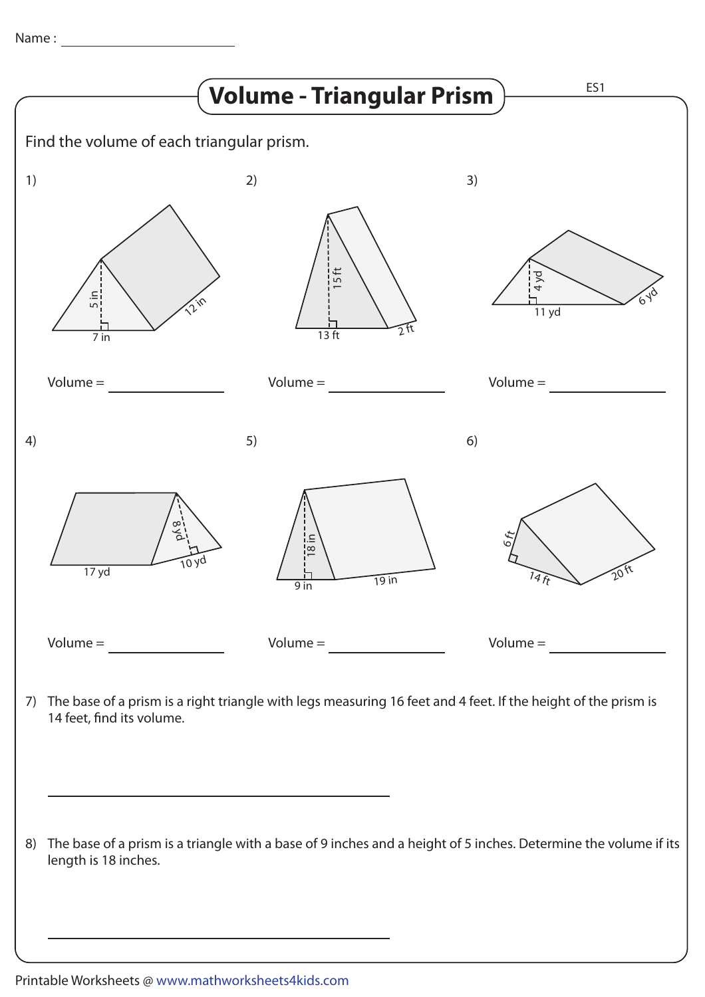